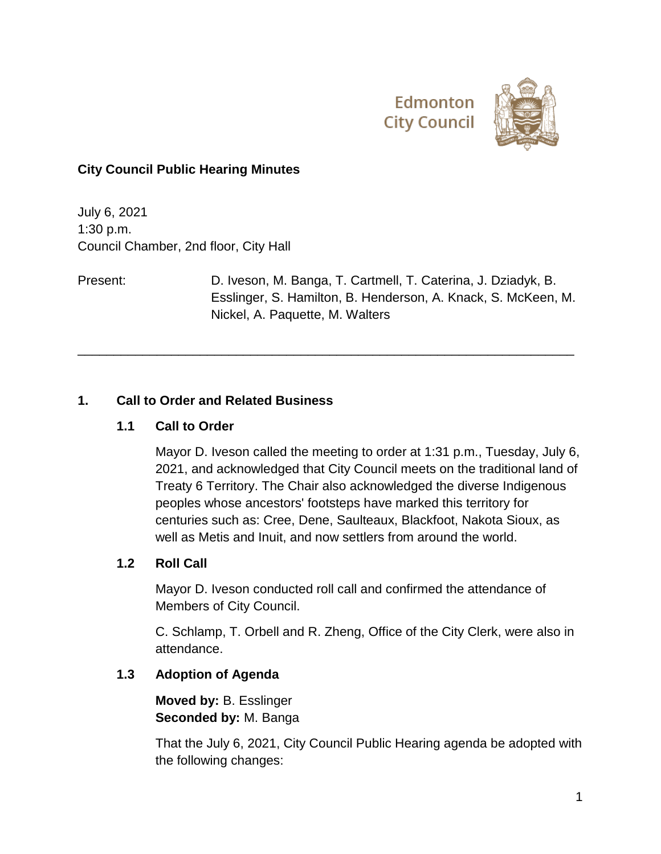



### **City Council Public Hearing Minutes**

July 6, 2021 1:30 p.m. Council Chamber, 2nd floor, City Hall

Present: D. Iveson, M. Banga, T. Cartmell, T. Caterina, J. Dziadyk, B. Esslinger, S. Hamilton, B. Henderson, A. Knack, S. McKeen, M. Nickel, A. Paquette, M. Walters

\_\_\_\_\_\_\_\_\_\_\_\_\_\_\_\_\_\_\_\_\_\_\_\_\_\_\_\_\_\_\_\_\_\_\_\_\_\_\_\_\_\_\_\_\_\_\_\_\_\_\_\_\_\_\_\_\_\_\_\_\_\_\_\_\_\_\_\_\_

#### **1. Call to Order and Related Business**

#### **1.1 Call to Order**

Mayor D. Iveson called the meeting to order at 1:31 p.m., Tuesday, July 6, 2021, and acknowledged that City Council meets on the traditional land of Treaty 6 Territory. The Chair also acknowledged the diverse Indigenous peoples whose ancestors' footsteps have marked this territory for centuries such as: Cree, Dene, Saulteaux, Blackfoot, Nakota Sioux, as well as Metis and Inuit, and now settlers from around the world.

#### **1.2 Roll Call**

Mayor D. Iveson conducted roll call and confirmed the attendance of Members of City Council.

C. Schlamp, T. Orbell and R. Zheng, Office of the City Clerk, were also in attendance.

## **1.3 Adoption of Agenda**

**Moved by:** B. Esslinger **Seconded by:** M. Banga

That the July 6, 2021, City Council Public Hearing agenda be adopted with the following changes: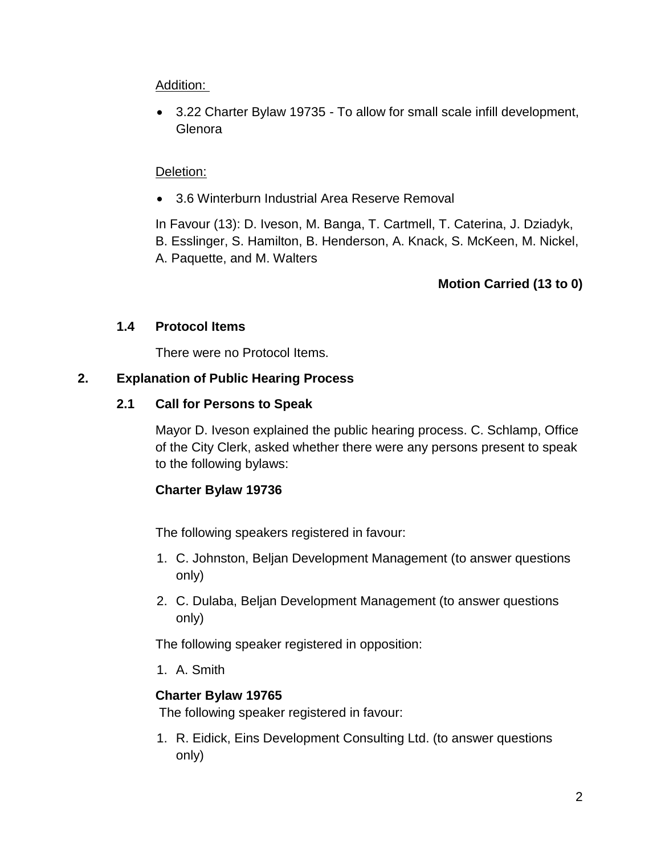## Addition:

 3.22 Charter Bylaw 19735 - To allow for small scale infill development, Glenora

#### Deletion:

3.6 Winterburn Industrial Area Reserve Removal

In Favour (13): D. Iveson, M. Banga, T. Cartmell, T. Caterina, J. Dziadyk, B. Esslinger, S. Hamilton, B. Henderson, A. Knack, S. McKeen, M. Nickel, A. Paquette, and M. Walters

## **Motion Carried (13 to 0)**

#### **1.4 Protocol Items**

There were no Protocol Items.

## **2. Explanation of Public Hearing Process**

#### **2.1 Call for Persons to Speak**

Mayor D. Iveson explained the public hearing process. C. Schlamp, Office of the City Clerk, asked whether there were any persons present to speak to the following bylaws:

## **Charter Bylaw 19736**

The following speakers registered in favour:

- 1. C. Johnston, Beljan Development Management (to answer questions only)
- 2. C. Dulaba, Beljan Development Management (to answer questions only)

The following speaker registered in opposition:

1. A. Smith

## **Charter Bylaw 19765**

The following speaker registered in favour:

1. R. Eidick, Eins Development Consulting Ltd. (to answer questions only)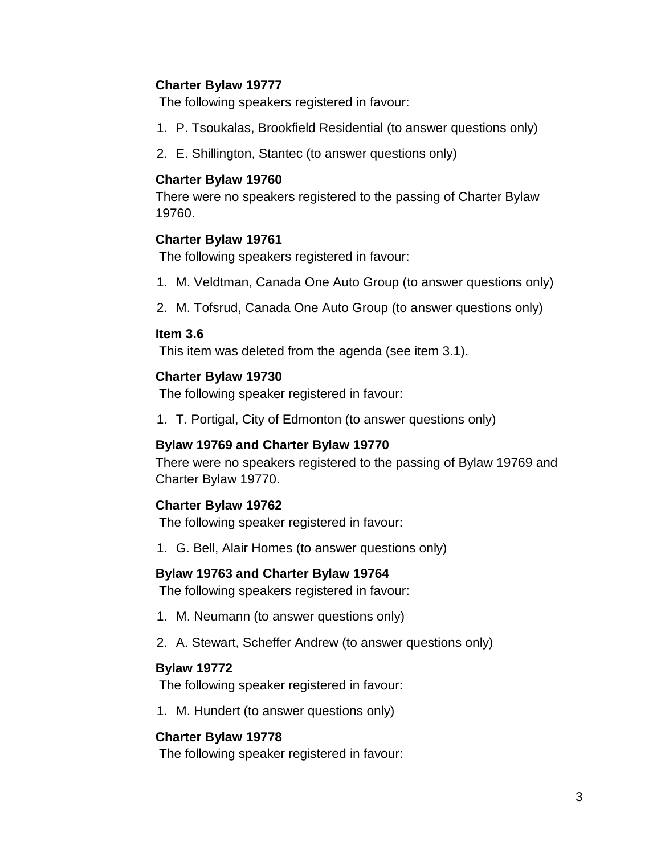### **Charter Bylaw 19777**

The following speakers registered in favour:

- 1. P. Tsoukalas, Brookfield Residential (to answer questions only)
- 2. E. Shillington, Stantec (to answer questions only)

### **Charter Bylaw 19760**

There were no speakers registered to the passing of Charter Bylaw 19760.

## **Charter Bylaw 19761**

The following speakers registered in favour:

- 1. M. Veldtman, Canada One Auto Group (to answer questions only)
- 2. M. Tofsrud, Canada One Auto Group (to answer questions only)

#### **Item 3.6**

This item was deleted from the agenda (see item 3.1).

## **Charter Bylaw 19730**

The following speaker registered in favour:

1. T. Portigal, City of Edmonton (to answer questions only)

## **Bylaw 19769 and Charter Bylaw 19770**

There were no speakers registered to the passing of Bylaw 19769 and Charter Bylaw 19770.

## **Charter Bylaw 19762**

The following speaker registered in favour:

1. G. Bell, Alair Homes (to answer questions only)

## **Bylaw 19763 and Charter Bylaw 19764**

The following speakers registered in favour:

- 1. M. Neumann (to answer questions only)
- 2. A. Stewart, Scheffer Andrew (to answer questions only)

## **Bylaw 19772**

The following speaker registered in favour:

1. M. Hundert (to answer questions only)

## **Charter Bylaw 19778**

The following speaker registered in favour: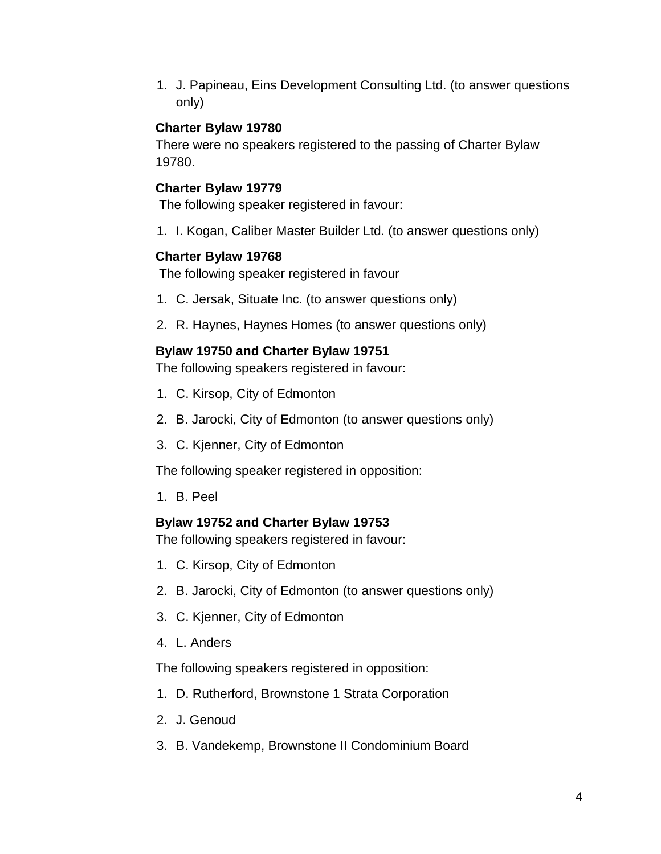1. J. Papineau, Eins Development Consulting Ltd. (to answer questions only)

#### **Charter Bylaw 19780**

There were no speakers registered to the passing of Charter Bylaw 19780.

### **Charter Bylaw 19779**

The following speaker registered in favour:

1. I. Kogan, Caliber Master Builder Ltd. (to answer questions only)

#### **Charter Bylaw 19768**

The following speaker registered in favour

- 1. C. Jersak, Situate Inc. (to answer questions only)
- 2. R. Haynes, Haynes Homes (to answer questions only)

#### **Bylaw 19750 and Charter Bylaw 19751**

The following speakers registered in favour:

- 1. C. Kirsop, City of Edmonton
- 2. B. Jarocki, City of Edmonton (to answer questions only)
- 3. C. Kjenner, City of Edmonton

The following speaker registered in opposition:

1. B. Peel

#### **Bylaw 19752 and Charter Bylaw 19753**

The following speakers registered in favour:

- 1. C. Kirsop, City of Edmonton
- 2. B. Jarocki, City of Edmonton (to answer questions only)
- 3. C. Kjenner, City of Edmonton
- 4. L. Anders

The following speakers registered in opposition:

- 1. D. Rutherford, Brownstone 1 Strata Corporation
- 2. J. Genoud
- 3. B. Vandekemp, Brownstone II Condominium Board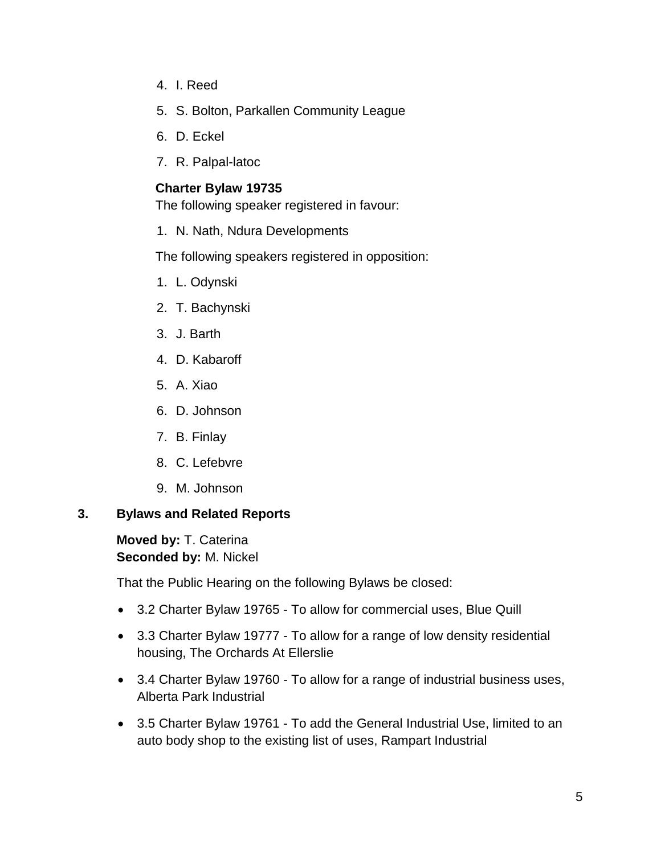- 4. I. Reed
- 5. S. Bolton, Parkallen Community League
- 6. D. Eckel
- 7. R. Palpal-latoc

### **Charter Bylaw 19735**

The following speaker registered in favour:

1. N. Nath, Ndura Developments

The following speakers registered in opposition:

- 1. L. Odynski
- 2. T. Bachynski
- 3. J. Barth
- 4. D. Kabaroff
- 5. A. Xiao
- 6. D. Johnson
- 7. B. Finlay
- 8. C. Lefebvre
- 9. M. Johnson

#### **3. Bylaws and Related Reports**

**Moved by:** T. Caterina **Seconded by:** M. Nickel

That the Public Hearing on the following Bylaws be closed:

- 3.2 Charter Bylaw 19765 To allow for commercial uses, Blue Quill
- 3.3 Charter Bylaw 19777 To allow for a range of low density residential housing, The Orchards At Ellerslie
- 3.4 Charter Bylaw 19760 To allow for a range of industrial business uses, Alberta Park Industrial
- 3.5 Charter Bylaw 19761 To add the General Industrial Use, limited to an auto body shop to the existing list of uses, Rampart Industrial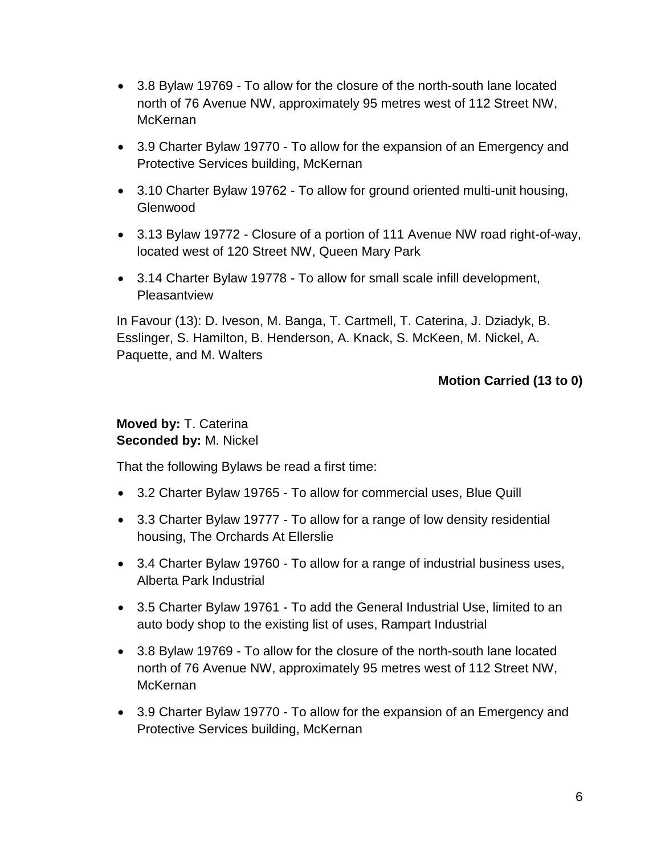- 3.8 Bylaw 19769 To allow for the closure of the north-south lane located north of 76 Avenue NW, approximately 95 metres west of 112 Street NW, McKernan
- 3.9 Charter Bylaw 19770 To allow for the expansion of an Emergency and Protective Services building, McKernan
- 3.10 Charter Bylaw 19762 To allow for ground oriented multi-unit housing, Glenwood
- 3.13 Bylaw 19772 Closure of a portion of 111 Avenue NW road right-of-way, located west of 120 Street NW, Queen Mary Park
- 3.14 Charter Bylaw 19778 To allow for small scale infill development, **Pleasantview**

## **Motion Carried (13 to 0)**

#### **Moved by:** T. Caterina **Seconded by:** M. Nickel

That the following Bylaws be read a first time:

- 3.2 Charter Bylaw 19765 To allow for commercial uses, Blue Quill
- 3.3 Charter Bylaw 19777 To allow for a range of low density residential housing, The Orchards At Ellerslie
- 3.4 Charter Bylaw 19760 To allow for a range of industrial business uses, Alberta Park Industrial
- 3.5 Charter Bylaw 19761 To add the General Industrial Use, limited to an auto body shop to the existing list of uses, Rampart Industrial
- 3.8 Bylaw 19769 To allow for the closure of the north-south lane located north of 76 Avenue NW, approximately 95 metres west of 112 Street NW, McKernan
- 3.9 Charter Bylaw 19770 To allow for the expansion of an Emergency and Protective Services building, McKernan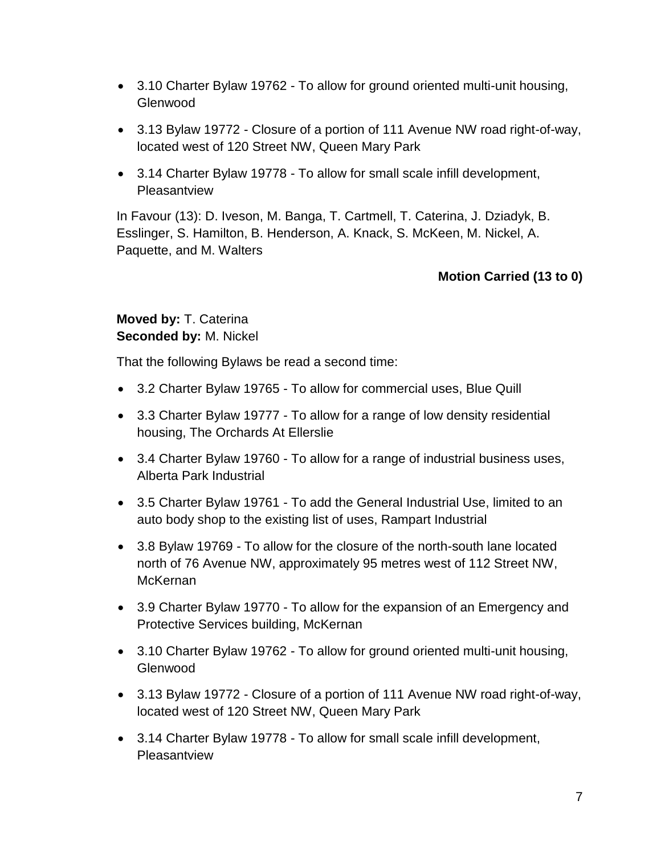- 3.10 Charter Bylaw 19762 To allow for ground oriented multi-unit housing, Glenwood
- 3.13 Bylaw 19772 Closure of a portion of 111 Avenue NW road right-of-way, located west of 120 Street NW, Queen Mary Park
- 3.14 Charter Bylaw 19778 To allow for small scale infill development, **Pleasantview**

# **Motion Carried (13 to 0)**

## **Moved by:** T. Caterina **Seconded by:** M. Nickel

That the following Bylaws be read a second time:

- 3.2 Charter Bylaw 19765 To allow for commercial uses, Blue Quill
- 3.3 Charter Bylaw 19777 To allow for a range of low density residential housing, The Orchards At Ellerslie
- 3.4 Charter Bylaw 19760 To allow for a range of industrial business uses, Alberta Park Industrial
- 3.5 Charter Bylaw 19761 To add the General Industrial Use, limited to an auto body shop to the existing list of uses, Rampart Industrial
- 3.8 Bylaw 19769 To allow for the closure of the north-south lane located north of 76 Avenue NW, approximately 95 metres west of 112 Street NW, **McKernan**
- 3.9 Charter Bylaw 19770 To allow for the expansion of an Emergency and Protective Services building, McKernan
- 3.10 Charter Bylaw 19762 To allow for ground oriented multi-unit housing, Glenwood
- 3.13 Bylaw 19772 Closure of a portion of 111 Avenue NW road right-of-way, located west of 120 Street NW, Queen Mary Park
- 3.14 Charter Bylaw 19778 To allow for small scale infill development, **Pleasantview**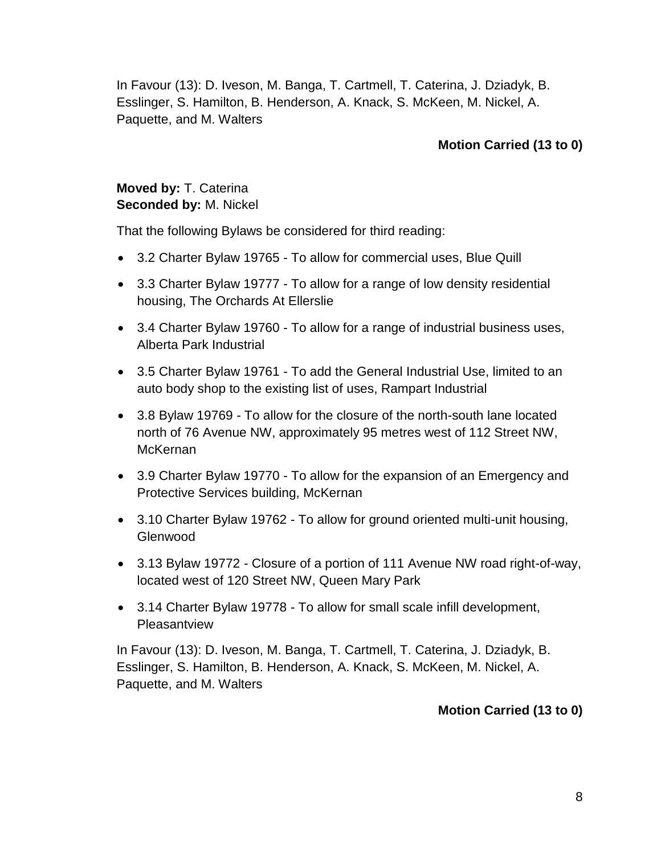# **Motion Carried (13 to 0)**

# **Moved by:** T. Caterina **Seconded by:** M. Nickel

That the following Bylaws be considered for third reading:

- 3.2 Charter Bylaw 19765 To allow for commercial uses, Blue Quill
- 3.3 Charter Bylaw 19777 To allow for a range of low density residential housing, The Orchards At Ellerslie
- 3.4 Charter Bylaw 19760 To allow for a range of industrial business uses, Alberta Park Industrial
- 3.5 Charter Bylaw 19761 To add the General Industrial Use, limited to an auto body shop to the existing list of uses, Rampart Industrial
- 3.8 Bylaw 19769 To allow for the closure of the north-south lane located north of 76 Avenue NW, approximately 95 metres west of 112 Street NW, McKernan
- 3.9 Charter Bylaw 19770 To allow for the expansion of an Emergency and Protective Services building, McKernan
- 3.10 Charter Bylaw 19762 To allow for ground oriented multi-unit housing, Glenwood
- 3.13 Bylaw 19772 Closure of a portion of 111 Avenue NW road right-of-way, located west of 120 Street NW, Queen Mary Park
- 3.14 Charter Bylaw 19778 To allow for small scale infill development, **Pleasantview**

In Favour (13): D. Iveson, M. Banga, T. Cartmell, T. Caterina, J. Dziadyk, B. Esslinger, S. Hamilton, B. Henderson, A. Knack, S. McKeen, M. Nickel, A. Paquette, and M. Walters

## **Motion Carried (13 to 0)**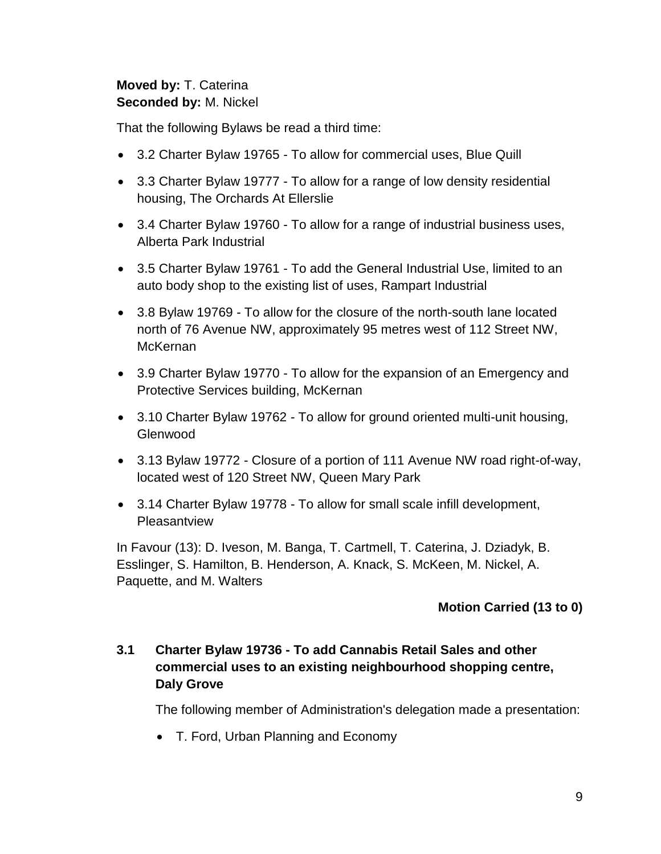## **Moved by:** T. Caterina **Seconded by:** M. Nickel

That the following Bylaws be read a third time:

- 3.2 Charter Bylaw 19765 To allow for commercial uses, Blue Quill
- 3.3 Charter Bylaw 19777 To allow for a range of low density residential housing, The Orchards At Ellerslie
- 3.4 Charter Bylaw 19760 To allow for a range of industrial business uses, Alberta Park Industrial
- 3.5 Charter Bylaw 19761 To add the General Industrial Use, limited to an auto body shop to the existing list of uses, Rampart Industrial
- 3.8 Bylaw 19769 To allow for the closure of the north-south lane located north of 76 Avenue NW, approximately 95 metres west of 112 Street NW, McKernan
- 3.9 Charter Bylaw 19770 To allow for the expansion of an Emergency and Protective Services building, McKernan
- 3.10 Charter Bylaw 19762 To allow for ground oriented multi-unit housing, Glenwood
- 3.13 Bylaw 19772 Closure of a portion of 111 Avenue NW road right-of-way, located west of 120 Street NW, Queen Mary Park
- 3.14 Charter Bylaw 19778 To allow for small scale infill development, **Pleasantview**

In Favour (13): D. Iveson, M. Banga, T. Cartmell, T. Caterina, J. Dziadyk, B. Esslinger, S. Hamilton, B. Henderson, A. Knack, S. McKeen, M. Nickel, A. Paquette, and M. Walters

# **Motion Carried (13 to 0)**

# **3.1 Charter Bylaw 19736 - To add Cannabis Retail Sales and other commercial uses to an existing neighbourhood shopping centre, Daly Grove**

The following member of Administration's delegation made a presentation:

• T. Ford, Urban Planning and Economy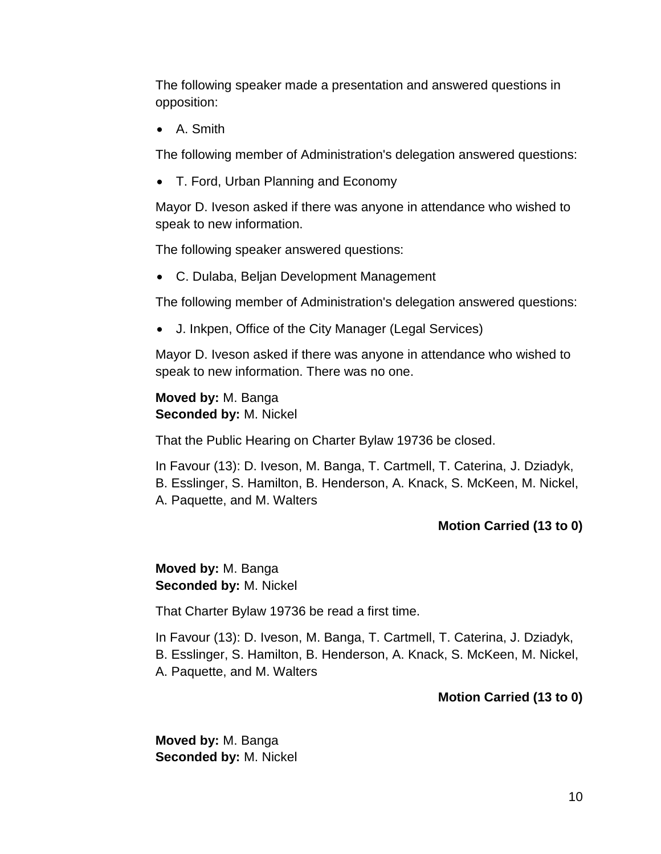The following speaker made a presentation and answered questions in opposition:

A. Smith

The following member of Administration's delegation answered questions:

• T. Ford, Urban Planning and Economy

Mayor D. Iveson asked if there was anyone in attendance who wished to speak to new information.

The following speaker answered questions:

C. Dulaba, Beljan Development Management

The following member of Administration's delegation answered questions:

J. Inkpen, Office of the City Manager (Legal Services)

Mayor D. Iveson asked if there was anyone in attendance who wished to speak to new information. There was no one.

**Moved by:** M. Banga **Seconded by:** M. Nickel

That the Public Hearing on Charter Bylaw 19736 be closed.

In Favour (13): D. Iveson, M. Banga, T. Cartmell, T. Caterina, J. Dziadyk, B. Esslinger, S. Hamilton, B. Henderson, A. Knack, S. McKeen, M. Nickel, A. Paquette, and M. Walters

# **Motion Carried (13 to 0)**

# **Moved by:** M. Banga **Seconded by:** M. Nickel

That Charter Bylaw 19736 be read a first time.

In Favour (13): D. Iveson, M. Banga, T. Cartmell, T. Caterina, J. Dziadyk, B. Esslinger, S. Hamilton, B. Henderson, A. Knack, S. McKeen, M. Nickel, A. Paquette, and M. Walters

# **Motion Carried (13 to 0)**

**Moved by:** M. Banga **Seconded by:** M. Nickel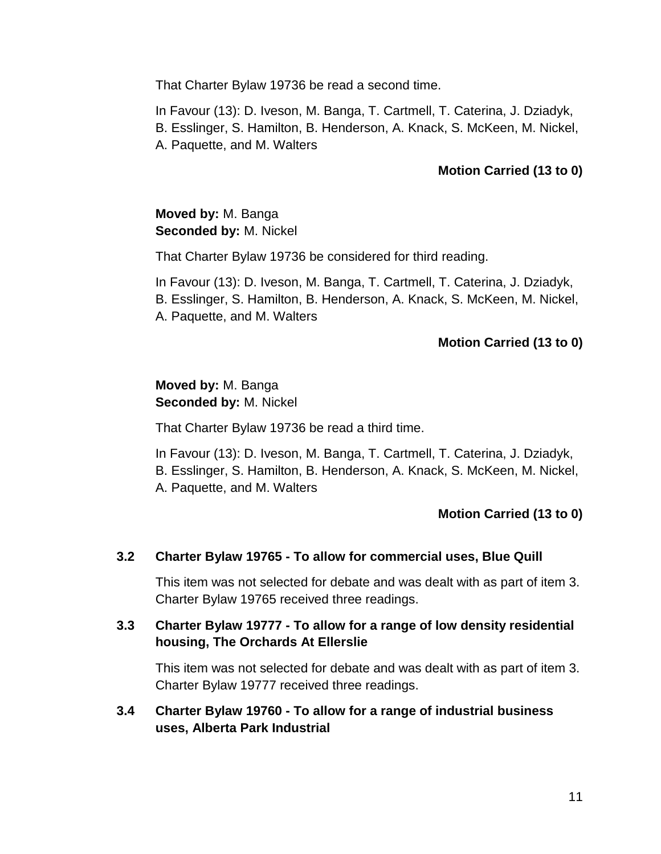That Charter Bylaw 19736 be read a second time.

In Favour (13): D. Iveson, M. Banga, T. Cartmell, T. Caterina, J. Dziadyk, B. Esslinger, S. Hamilton, B. Henderson, A. Knack, S. McKeen, M. Nickel, A. Paquette, and M. Walters

### **Motion Carried (13 to 0)**

## **Moved by:** M. Banga **Seconded by:** M. Nickel

That Charter Bylaw 19736 be considered for third reading.

In Favour (13): D. Iveson, M. Banga, T. Cartmell, T. Caterina, J. Dziadyk, B. Esslinger, S. Hamilton, B. Henderson, A. Knack, S. McKeen, M. Nickel, A. Paquette, and M. Walters

#### **Motion Carried (13 to 0)**

### **Moved by:** M. Banga **Seconded by:** M. Nickel

That Charter Bylaw 19736 be read a third time.

In Favour (13): D. Iveson, M. Banga, T. Cartmell, T. Caterina, J. Dziadyk, B. Esslinger, S. Hamilton, B. Henderson, A. Knack, S. McKeen, M. Nickel, A. Paquette, and M. Walters

#### **Motion Carried (13 to 0)**

#### **3.2 Charter Bylaw 19765 - To allow for commercial uses, Blue Quill**

This item was not selected for debate and was dealt with as part of item 3. Charter Bylaw 19765 received three readings.

#### **3.3 Charter Bylaw 19777 - To allow for a range of low density residential housing, The Orchards At Ellerslie**

This item was not selected for debate and was dealt with as part of item 3. Charter Bylaw 19777 received three readings.

**3.4 Charter Bylaw 19760 - To allow for a range of industrial business uses, Alberta Park Industrial**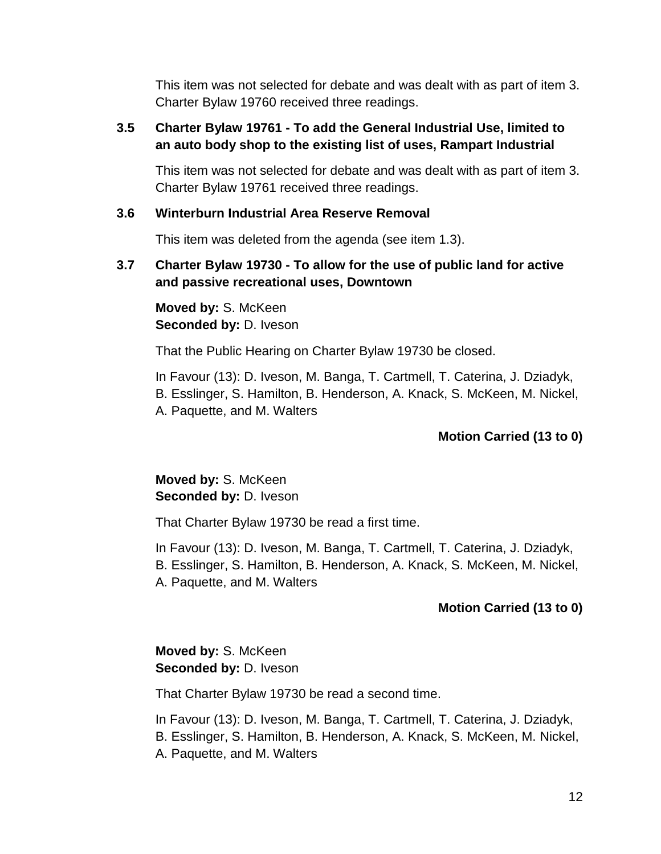This item was not selected for debate and was dealt with as part of item 3. Charter Bylaw 19760 received three readings.

## **3.5 Charter Bylaw 19761 - To add the General Industrial Use, limited to an auto body shop to the existing list of uses, Rampart Industrial**

This item was not selected for debate and was dealt with as part of item 3. Charter Bylaw 19761 received three readings.

#### **3.6 Winterburn Industrial Area Reserve Removal**

This item was deleted from the agenda (see item 1.3).

### **3.7 Charter Bylaw 19730 - To allow for the use of public land for active and passive recreational uses, Downtown**

**Moved by:** S. McKeen **Seconded by:** D. Iveson

That the Public Hearing on Charter Bylaw 19730 be closed.

In Favour (13): D. Iveson, M. Banga, T. Cartmell, T. Caterina, J. Dziadyk, B. Esslinger, S. Hamilton, B. Henderson, A. Knack, S. McKeen, M. Nickel, A. Paquette, and M. Walters

## **Motion Carried (13 to 0)**

## **Moved by:** S. McKeen **Seconded by:** D. Iveson

That Charter Bylaw 19730 be read a first time.

In Favour (13): D. Iveson, M. Banga, T. Cartmell, T. Caterina, J. Dziadyk, B. Esslinger, S. Hamilton, B. Henderson, A. Knack, S. McKeen, M. Nickel, A. Paquette, and M. Walters

## **Motion Carried (13 to 0)**

# **Moved by:** S. McKeen **Seconded by:** D. Iveson

That Charter Bylaw 19730 be read a second time.

In Favour (13): D. Iveson, M. Banga, T. Cartmell, T. Caterina, J. Dziadyk, B. Esslinger, S. Hamilton, B. Henderson, A. Knack, S. McKeen, M. Nickel, A. Paquette, and M. Walters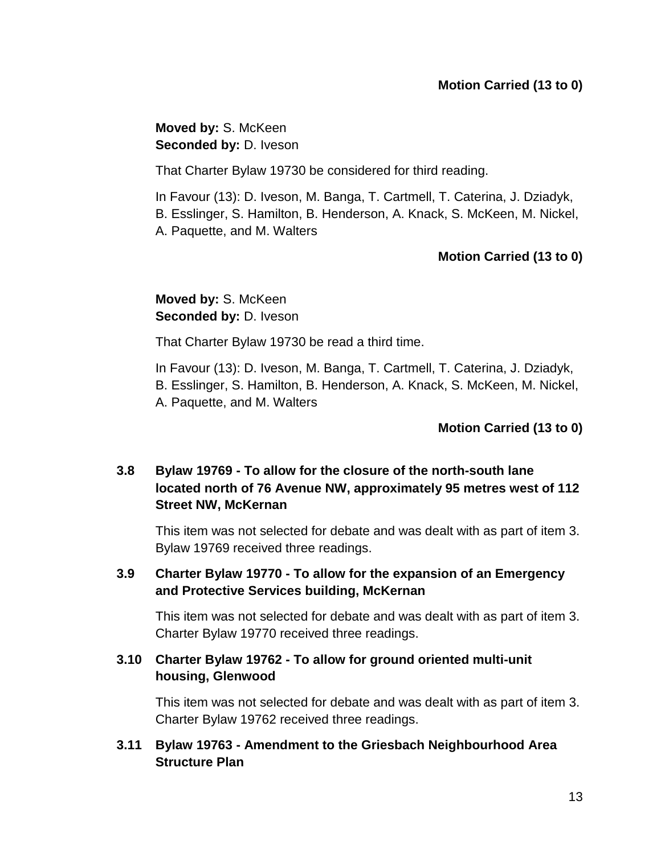**Moved by:** S. McKeen **Seconded by:** D. Iveson

That Charter Bylaw 19730 be considered for third reading.

In Favour (13): D. Iveson, M. Banga, T. Cartmell, T. Caterina, J. Dziadyk, B. Esslinger, S. Hamilton, B. Henderson, A. Knack, S. McKeen, M. Nickel, A. Paquette, and M. Walters

# **Motion Carried (13 to 0)**

# **Moved by:** S. McKeen **Seconded by:** D. Iveson

That Charter Bylaw 19730 be read a third time.

In Favour (13): D. Iveson, M. Banga, T. Cartmell, T. Caterina, J. Dziadyk, B. Esslinger, S. Hamilton, B. Henderson, A. Knack, S. McKeen, M. Nickel, A. Paquette, and M. Walters

## **Motion Carried (13 to 0)**

# **3.8 Bylaw 19769 - To allow for the closure of the north-south lane located north of 76 Avenue NW, approximately 95 metres west of 112 Street NW, McKernan**

This item was not selected for debate and was dealt with as part of item 3. Bylaw 19769 received three readings.

## **3.9 Charter Bylaw 19770 - To allow for the expansion of an Emergency and Protective Services building, McKernan**

This item was not selected for debate and was dealt with as part of item 3. Charter Bylaw 19770 received three readings.

# **3.10 Charter Bylaw 19762 - To allow for ground oriented multi-unit housing, Glenwood**

This item was not selected for debate and was dealt with as part of item 3. Charter Bylaw 19762 received three readings.

## **3.11 Bylaw 19763 - Amendment to the Griesbach Neighbourhood Area Structure Plan**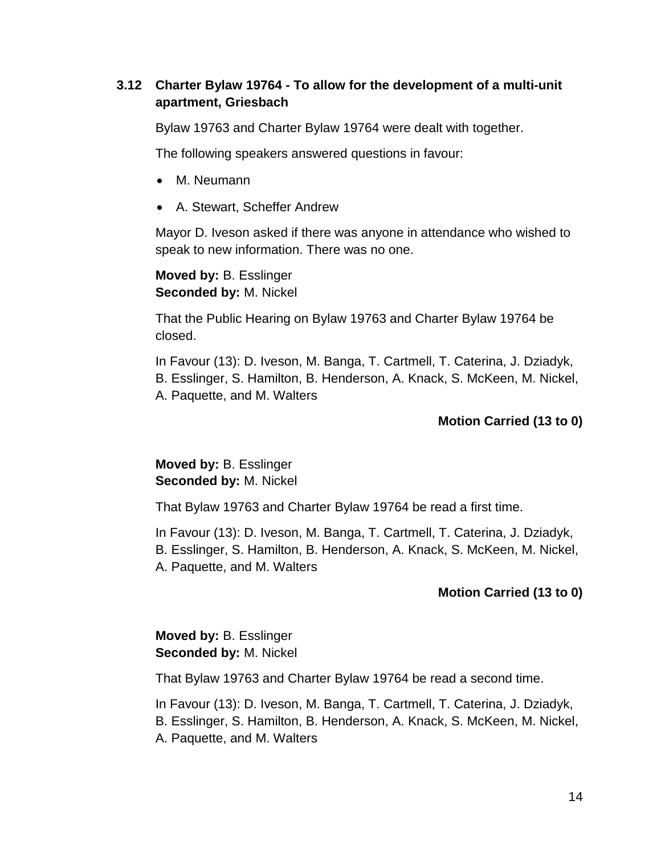# **3.12 Charter Bylaw 19764 - To allow for the development of a multi-unit apartment, Griesbach**

Bylaw 19763 and Charter Bylaw 19764 were dealt with together.

The following speakers answered questions in favour:

- M. Neumann
- A. Stewart, Scheffer Andrew

Mayor D. Iveson asked if there was anyone in attendance who wished to speak to new information. There was no one.

**Moved by:** B. Esslinger **Seconded by:** M. Nickel

That the Public Hearing on Bylaw 19763 and Charter Bylaw 19764 be closed.

In Favour (13): D. Iveson, M. Banga, T. Cartmell, T. Caterina, J. Dziadyk, B. Esslinger, S. Hamilton, B. Henderson, A. Knack, S. McKeen, M. Nickel, A. Paquette, and M. Walters

## **Motion Carried (13 to 0)**

**Moved by:** B. Esslinger **Seconded by:** M. Nickel

That Bylaw 19763 and Charter Bylaw 19764 be read a first time.

In Favour (13): D. Iveson, M. Banga, T. Cartmell, T. Caterina, J. Dziadyk, B. Esslinger, S. Hamilton, B. Henderson, A. Knack, S. McKeen, M. Nickel, A. Paquette, and M. Walters

## **Motion Carried (13 to 0)**

**Moved by:** B. Esslinger **Seconded by:** M. Nickel

That Bylaw 19763 and Charter Bylaw 19764 be read a second time.

In Favour (13): D. Iveson, M. Banga, T. Cartmell, T. Caterina, J. Dziadyk, B. Esslinger, S. Hamilton, B. Henderson, A. Knack, S. McKeen, M. Nickel, A. Paquette, and M. Walters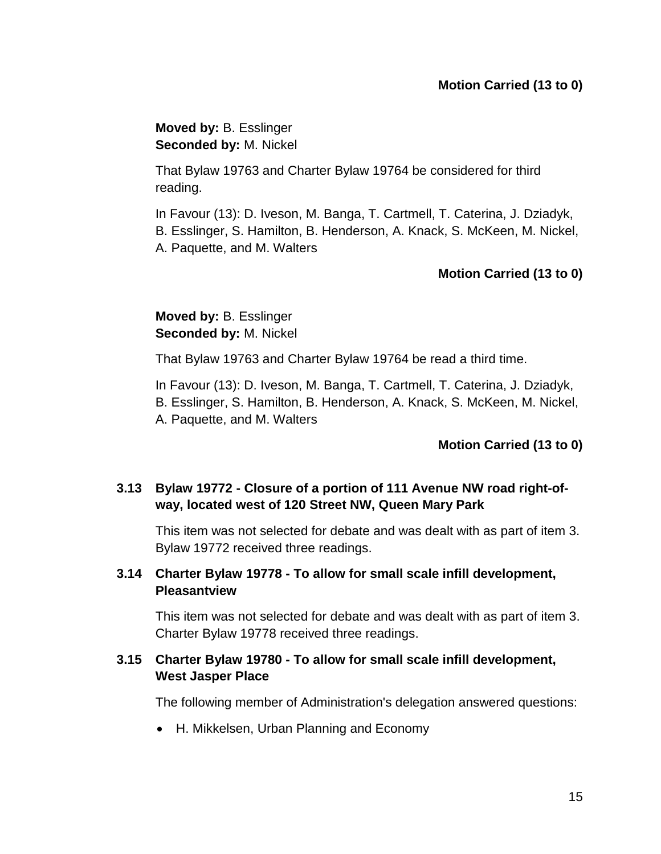**Moved by:** B. Esslinger **Seconded by:** M. Nickel

That Bylaw 19763 and Charter Bylaw 19764 be considered for third reading.

In Favour (13): D. Iveson, M. Banga, T. Cartmell, T. Caterina, J. Dziadyk, B. Esslinger, S. Hamilton, B. Henderson, A. Knack, S. McKeen, M. Nickel, A. Paquette, and M. Walters

# **Motion Carried (13 to 0)**

**Moved by:** B. Esslinger **Seconded by:** M. Nickel

That Bylaw 19763 and Charter Bylaw 19764 be read a third time.

In Favour (13): D. Iveson, M. Banga, T. Cartmell, T. Caterina, J. Dziadyk,

B. Esslinger, S. Hamilton, B. Henderson, A. Knack, S. McKeen, M. Nickel,

A. Paquette, and M. Walters

## **Motion Carried (13 to 0)**

# **3.13 Bylaw 19772 - Closure of a portion of 111 Avenue NW road right-ofway, located west of 120 Street NW, Queen Mary Park**

This item was not selected for debate and was dealt with as part of item 3. Bylaw 19772 received three readings.

# **3.14 Charter Bylaw 19778 - To allow for small scale infill development, Pleasantview**

This item was not selected for debate and was dealt with as part of item 3. Charter Bylaw 19778 received three readings.

# **3.15 Charter Bylaw 19780 - To allow for small scale infill development, West Jasper Place**

The following member of Administration's delegation answered questions:

H. Mikkelsen, Urban Planning and Economy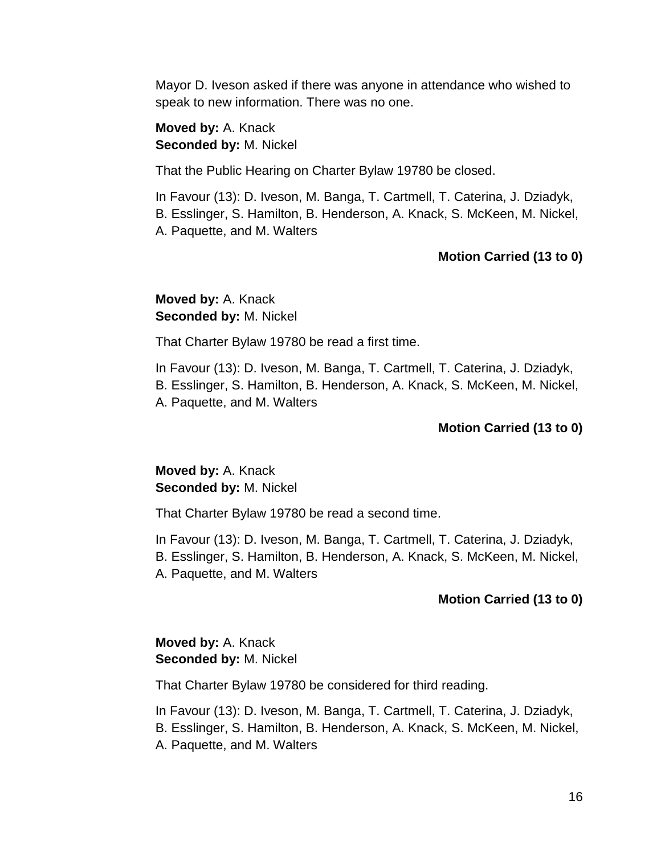Mayor D. Iveson asked if there was anyone in attendance who wished to speak to new information. There was no one.

**Moved by:** A. Knack **Seconded by:** M. Nickel

That the Public Hearing on Charter Bylaw 19780 be closed.

In Favour (13): D. Iveson, M. Banga, T. Cartmell, T. Caterina, J. Dziadyk, B. Esslinger, S. Hamilton, B. Henderson, A. Knack, S. McKeen, M. Nickel, A. Paquette, and M. Walters

## **Motion Carried (13 to 0)**

# **Moved by:** A. Knack **Seconded by:** M. Nickel

That Charter Bylaw 19780 be read a first time.

In Favour (13): D. Iveson, M. Banga, T. Cartmell, T. Caterina, J. Dziadyk, B. Esslinger, S. Hamilton, B. Henderson, A. Knack, S. McKeen, M. Nickel, A. Paquette, and M. Walters

#### **Motion Carried (13 to 0)**

**Moved by:** A. Knack **Seconded by:** M. Nickel

That Charter Bylaw 19780 be read a second time.

In Favour (13): D. Iveson, M. Banga, T. Cartmell, T. Caterina, J. Dziadyk, B. Esslinger, S. Hamilton, B. Henderson, A. Knack, S. McKeen, M. Nickel, A. Paquette, and M. Walters

## **Motion Carried (13 to 0)**

# **Moved by:** A. Knack **Seconded by:** M. Nickel

That Charter Bylaw 19780 be considered for third reading.

In Favour (13): D. Iveson, M. Banga, T. Cartmell, T. Caterina, J. Dziadyk, B. Esslinger, S. Hamilton, B. Henderson, A. Knack, S. McKeen, M. Nickel, A. Paquette, and M. Walters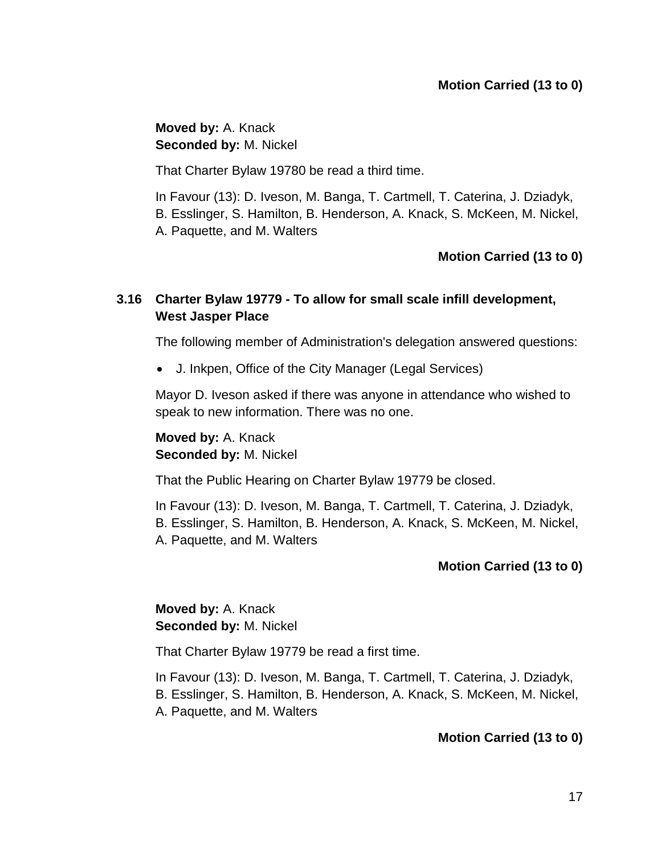**Moved by:** A. Knack **Seconded by:** M. Nickel

That Charter Bylaw 19780 be read a third time.

In Favour (13): D. Iveson, M. Banga, T. Cartmell, T. Caterina, J. Dziadyk, B. Esslinger, S. Hamilton, B. Henderson, A. Knack, S. McKeen, M. Nickel, A. Paquette, and M. Walters

# **Motion Carried (13 to 0)**

# **3.16 Charter Bylaw 19779 - To allow for small scale infill development, West Jasper Place**

The following member of Administration's delegation answered questions:

J. Inkpen, Office of the City Manager (Legal Services)

Mayor D. Iveson asked if there was anyone in attendance who wished to speak to new information. There was no one.

**Moved by:** A. Knack **Seconded by:** M. Nickel

That the Public Hearing on Charter Bylaw 19779 be closed.

In Favour (13): D. Iveson, M. Banga, T. Cartmell, T. Caterina, J. Dziadyk, B. Esslinger, S. Hamilton, B. Henderson, A. Knack, S. McKeen, M. Nickel, A. Paquette, and M. Walters

## **Motion Carried (13 to 0)**

**Moved by:** A. Knack **Seconded by:** M. Nickel

That Charter Bylaw 19779 be read a first time.

In Favour (13): D. Iveson, M. Banga, T. Cartmell, T. Caterina, J. Dziadyk, B. Esslinger, S. Hamilton, B. Henderson, A. Knack, S. McKeen, M. Nickel, A. Paquette, and M. Walters

## **Motion Carried (13 to 0)**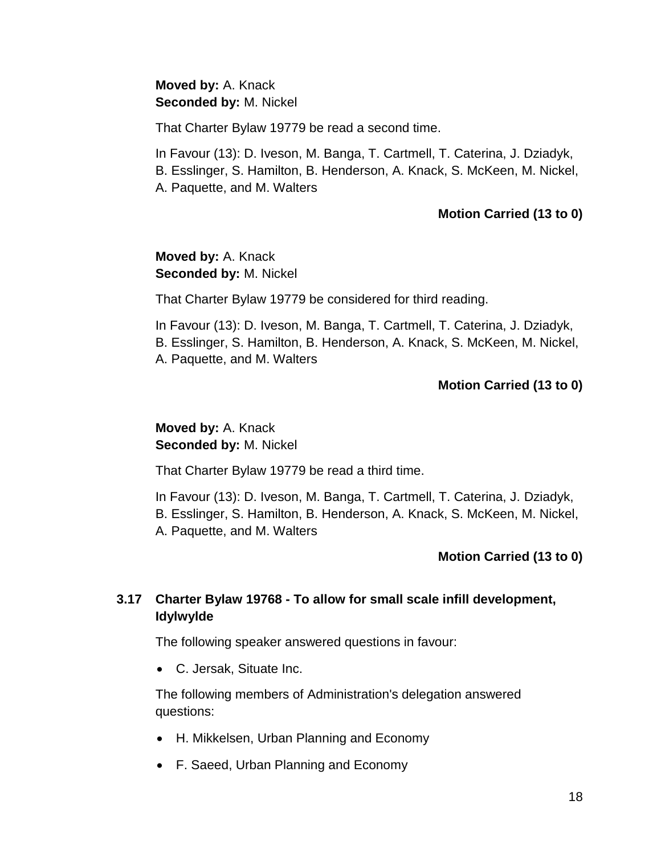## **Moved by:** A. Knack **Seconded by:** M. Nickel

That Charter Bylaw 19779 be read a second time.

In Favour (13): D. Iveson, M. Banga, T. Cartmell, T. Caterina, J. Dziadyk, B. Esslinger, S. Hamilton, B. Henderson, A. Knack, S. McKeen, M. Nickel, A. Paquette, and M. Walters

#### **Motion Carried (13 to 0)**

## **Moved by:** A. Knack **Seconded by:** M. Nickel

That Charter Bylaw 19779 be considered for third reading.

In Favour (13): D. Iveson, M. Banga, T. Cartmell, T. Caterina, J. Dziadyk, B. Esslinger, S. Hamilton, B. Henderson, A. Knack, S. McKeen, M. Nickel, A. Paquette, and M. Walters

## **Motion Carried (13 to 0)**

# **Moved by:** A. Knack **Seconded by:** M. Nickel

That Charter Bylaw 19779 be read a third time.

In Favour (13): D. Iveson, M. Banga, T. Cartmell, T. Caterina, J. Dziadyk, B. Esslinger, S. Hamilton, B. Henderson, A. Knack, S. McKeen, M. Nickel, A. Paquette, and M. Walters

## **Motion Carried (13 to 0)**

# **3.17 Charter Bylaw 19768 - To allow for small scale infill development, Idylwylde**

The following speaker answered questions in favour:

C. Jersak, Situate Inc.

The following members of Administration's delegation answered questions:

- H. Mikkelsen, Urban Planning and Economy
- F. Saeed, Urban Planning and Economy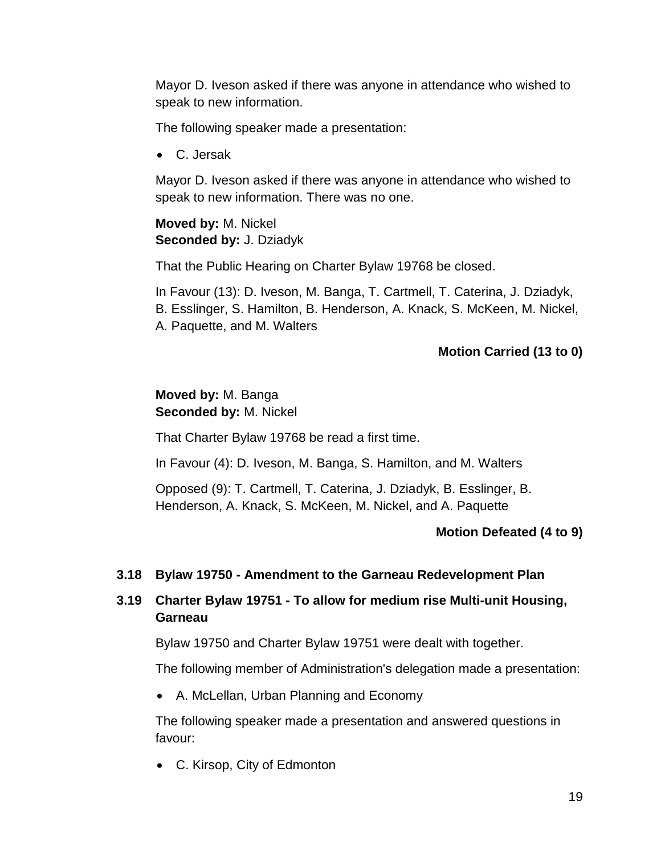Mayor D. Iveson asked if there was anyone in attendance who wished to speak to new information.

The following speaker made a presentation:

C. Jersak

Mayor D. Iveson asked if there was anyone in attendance who wished to speak to new information. There was no one.

## **Moved by:** M. Nickel **Seconded by:** J. Dziadyk

That the Public Hearing on Charter Bylaw 19768 be closed.

In Favour (13): D. Iveson, M. Banga, T. Cartmell, T. Caterina, J. Dziadyk, B. Esslinger, S. Hamilton, B. Henderson, A. Knack, S. McKeen, M. Nickel, A. Paquette, and M. Walters

# **Motion Carried (13 to 0)**

# **Moved by:** M. Banga **Seconded by:** M. Nickel

That Charter Bylaw 19768 be read a first time.

In Favour (4): D. Iveson, M. Banga, S. Hamilton, and M. Walters

Opposed (9): T. Cartmell, T. Caterina, J. Dziadyk, B. Esslinger, B. Henderson, A. Knack, S. McKeen, M. Nickel, and A. Paquette

## **Motion Defeated (4 to 9)**

## **3.18 Bylaw 19750 - Amendment to the Garneau Redevelopment Plan**

# **3.19 Charter Bylaw 19751 - To allow for medium rise Multi-unit Housing, Garneau**

Bylaw 19750 and Charter Bylaw 19751 were dealt with together.

The following member of Administration's delegation made a presentation:

A. McLellan, Urban Planning and Economy

The following speaker made a presentation and answered questions in favour:

C. Kirsop, City of Edmonton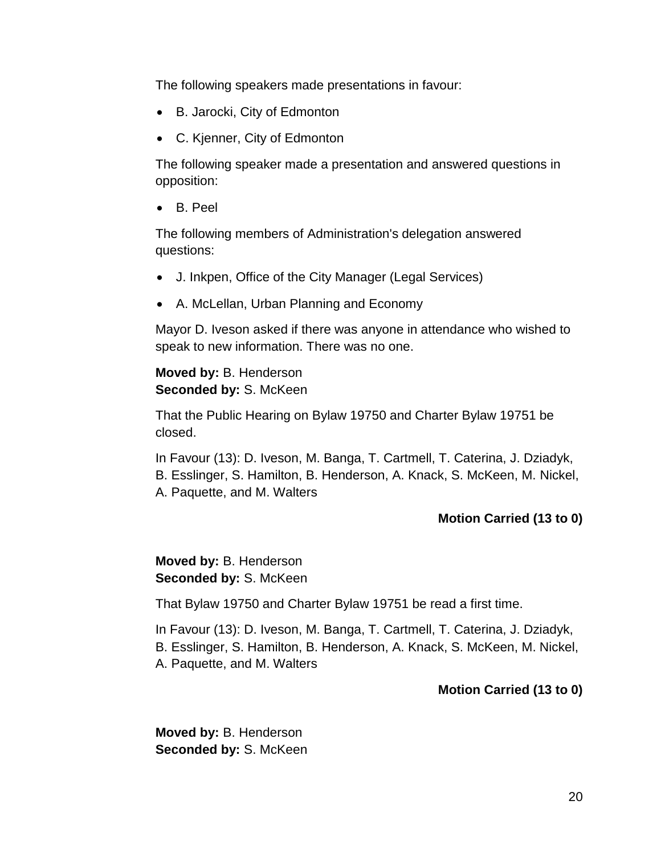The following speakers made presentations in favour:

- B. Jarocki, City of Edmonton
- C. Kjenner, City of Edmonton

The following speaker made a presentation and answered questions in opposition:

B. Peel

The following members of Administration's delegation answered questions:

- J. Inkpen, Office of the City Manager (Legal Services)
- A. McLellan, Urban Planning and Economy

Mayor D. Iveson asked if there was anyone in attendance who wished to speak to new information. There was no one.

### **Moved by:** B. Henderson **Seconded by:** S. McKeen

That the Public Hearing on Bylaw 19750 and Charter Bylaw 19751 be closed.

In Favour (13): D. Iveson, M. Banga, T. Cartmell, T. Caterina, J. Dziadyk, B. Esslinger, S. Hamilton, B. Henderson, A. Knack, S. McKeen, M. Nickel, A. Paquette, and M. Walters

## **Motion Carried (13 to 0)**

**Moved by:** B. Henderson **Seconded by:** S. McKeen

That Bylaw 19750 and Charter Bylaw 19751 be read a first time.

In Favour (13): D. Iveson, M. Banga, T. Cartmell, T. Caterina, J. Dziadyk, B. Esslinger, S. Hamilton, B. Henderson, A. Knack, S. McKeen, M. Nickel, A. Paquette, and M. Walters

## **Motion Carried (13 to 0)**

**Moved by:** B. Henderson **Seconded by:** S. McKeen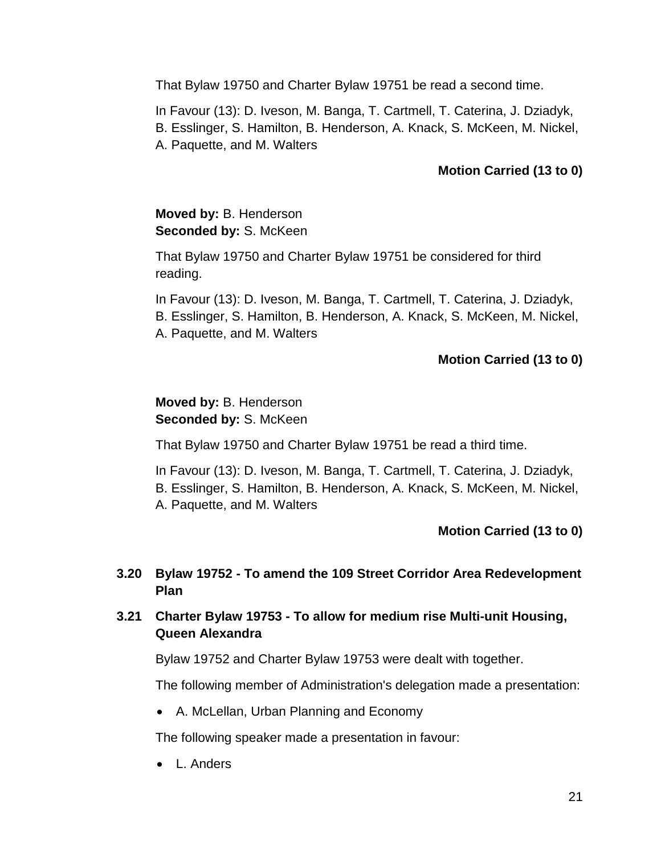That Bylaw 19750 and Charter Bylaw 19751 be read a second time.

In Favour (13): D. Iveson, M. Banga, T. Cartmell, T. Caterina, J. Dziadyk, B. Esslinger, S. Hamilton, B. Henderson, A. Knack, S. McKeen, M. Nickel, A. Paquette, and M. Walters

# **Motion Carried (13 to 0)**

## **Moved by:** B. Henderson **Seconded by: S. McKeen**

That Bylaw 19750 and Charter Bylaw 19751 be considered for third reading.

In Favour (13): D. Iveson, M. Banga, T. Cartmell, T. Caterina, J. Dziadyk, B. Esslinger, S. Hamilton, B. Henderson, A. Knack, S. McKeen, M. Nickel, A. Paquette, and M. Walters

## **Motion Carried (13 to 0)**

## **Moved by:** B. Henderson **Seconded by:** S. McKeen

That Bylaw 19750 and Charter Bylaw 19751 be read a third time.

In Favour (13): D. Iveson, M. Banga, T. Cartmell, T. Caterina, J. Dziadyk, B. Esslinger, S. Hamilton, B. Henderson, A. Knack, S. McKeen, M. Nickel, A. Paquette, and M. Walters

#### **Motion Carried (13 to 0)**

## **3.20 Bylaw 19752 - To amend the 109 Street Corridor Area Redevelopment Plan**

# **3.21 Charter Bylaw 19753 - To allow for medium rise Multi-unit Housing, Queen Alexandra**

Bylaw 19752 and Charter Bylaw 19753 were dealt with together.

The following member of Administration's delegation made a presentation:

A. McLellan, Urban Planning and Economy

The following speaker made a presentation in favour:

• L. Anders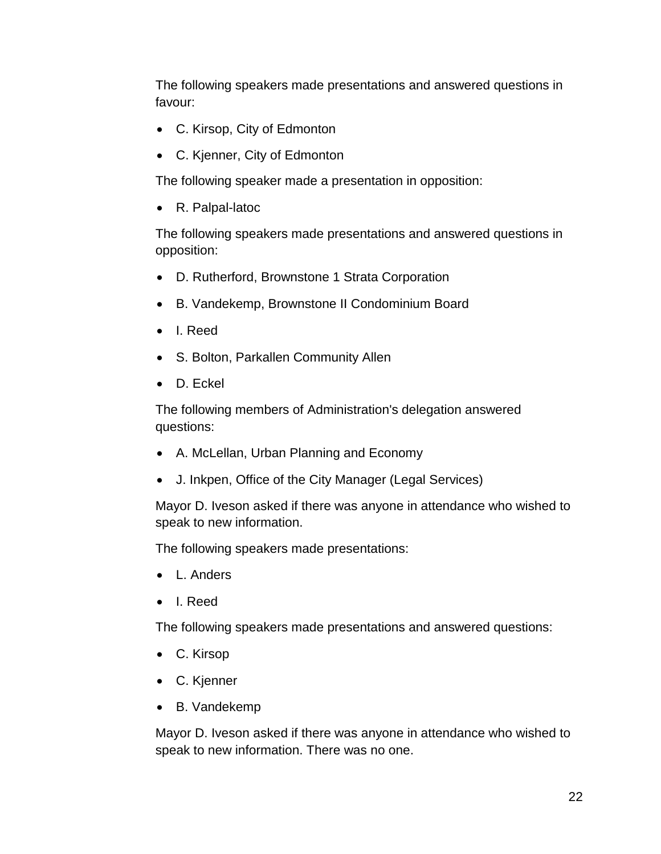The following speakers made presentations and answered questions in favour:

- C. Kirsop, City of Edmonton
- C. Kjenner, City of Edmonton

The following speaker made a presentation in opposition:

R. Palpal-latoc

The following speakers made presentations and answered questions in opposition:

- D. Rutherford, Brownstone 1 Strata Corporation
- B. Vandekemp, Brownstone II Condominium Board
- I. Reed
- S. Bolton, Parkallen Community Allen
- D. Eckel

The following members of Administration's delegation answered questions:

- A. McLellan, Urban Planning and Economy
- J. Inkpen, Office of the City Manager (Legal Services)

Mayor D. Iveson asked if there was anyone in attendance who wished to speak to new information.

The following speakers made presentations:

- L. Anders
- I. Reed

The following speakers made presentations and answered questions:

- C. Kirsop
- C. Kjenner
- B. Vandekemp

Mayor D. Iveson asked if there was anyone in attendance who wished to speak to new information. There was no one.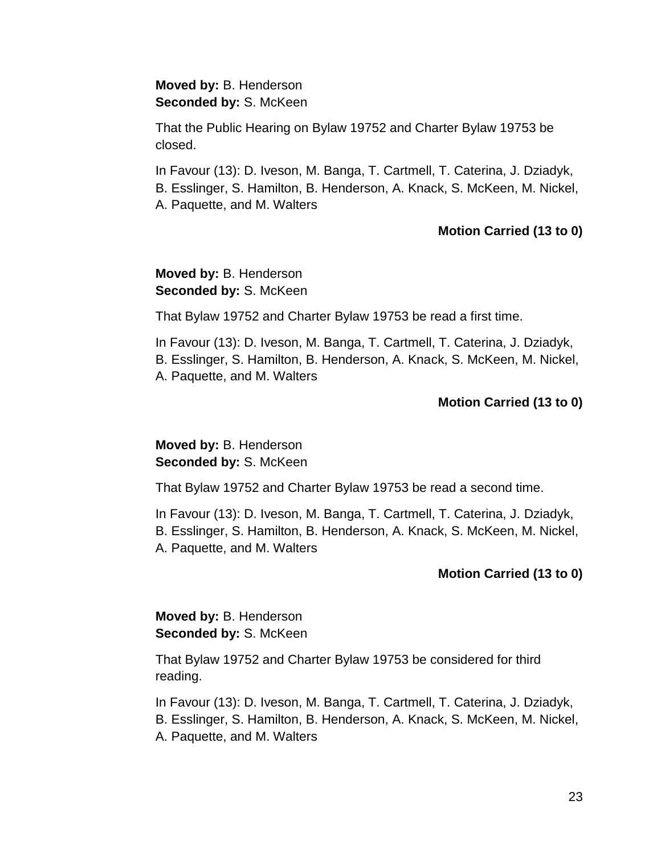#### **Moved by:** B. Henderson **Seconded by:** S. McKeen

That the Public Hearing on Bylaw 19752 and Charter Bylaw 19753 be closed.

In Favour (13): D. Iveson, M. Banga, T. Cartmell, T. Caterina, J. Dziadyk, B. Esslinger, S. Hamilton, B. Henderson, A. Knack, S. McKeen, M. Nickel,

A. Paquette, and M. Walters

## **Motion Carried (13 to 0)**

## **Moved by:** B. Henderson **Seconded by:** S. McKeen

That Bylaw 19752 and Charter Bylaw 19753 be read a first time.

In Favour (13): D. Iveson, M. Banga, T. Cartmell, T. Caterina, J. Dziadyk, B. Esslinger, S. Hamilton, B. Henderson, A. Knack, S. McKeen, M. Nickel, A. Paquette, and M. Walters

# **Motion Carried (13 to 0)**

# **Moved by:** B. Henderson **Seconded by: S. McKeen**

That Bylaw 19752 and Charter Bylaw 19753 be read a second time.

In Favour (13): D. Iveson, M. Banga, T. Cartmell, T. Caterina, J. Dziadyk, B. Esslinger, S. Hamilton, B. Henderson, A. Knack, S. McKeen, M. Nickel, A. Paquette, and M. Walters

# **Motion Carried (13 to 0)**

**Moved by:** B. Henderson **Seconded by:** S. McKeen

That Bylaw 19752 and Charter Bylaw 19753 be considered for third reading.

In Favour (13): D. Iveson, M. Banga, T. Cartmell, T. Caterina, J. Dziadyk, B. Esslinger, S. Hamilton, B. Henderson, A. Knack, S. McKeen, M. Nickel, A. Paquette, and M. Walters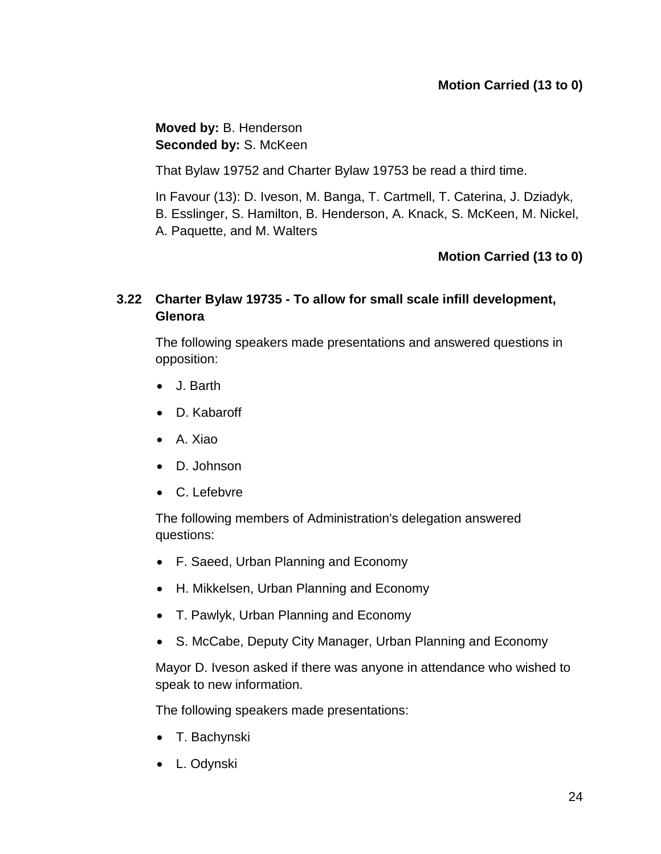**Moved by:** B. Henderson **Seconded by:** S. McKeen

That Bylaw 19752 and Charter Bylaw 19753 be read a third time.

In Favour (13): D. Iveson, M. Banga, T. Cartmell, T. Caterina, J. Dziadyk, B. Esslinger, S. Hamilton, B. Henderson, A. Knack, S. McKeen, M. Nickel, A. Paquette, and M. Walters

# **Motion Carried (13 to 0)**

# **3.22 Charter Bylaw 19735 - To allow for small scale infill development, Glenora**

The following speakers made presentations and answered questions in opposition:

- J. Barth
- D. Kabaroff
- A. Xiao
- D. Johnson
- C. Lefebvre

The following members of Administration's delegation answered questions:

- F. Saeed, Urban Planning and Economy
- H. Mikkelsen, Urban Planning and Economy
- T. Pawlyk, Urban Planning and Economy
- S. McCabe, Deputy City Manager, Urban Planning and Economy

Mayor D. Iveson asked if there was anyone in attendance who wished to speak to new information.

The following speakers made presentations:

- T. Bachynski
- L. Odynski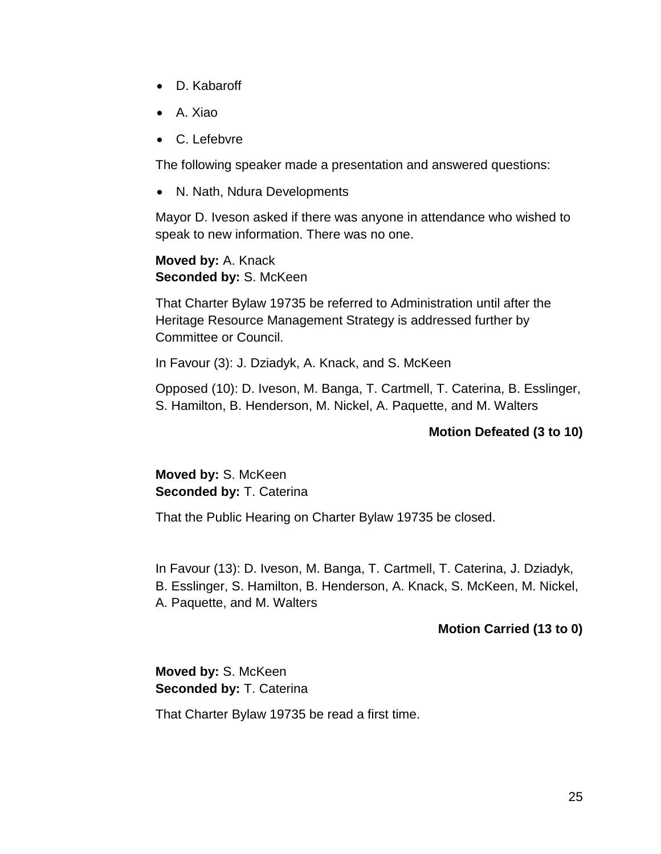- D. Kabaroff
- A. Xiao
- C. Lefebvre

The following speaker made a presentation and answered questions:

• N. Nath, Ndura Developments

Mayor D. Iveson asked if there was anyone in attendance who wished to speak to new information. There was no one.

**Moved by:** A. Knack **Seconded by:** S. McKeen

That Charter Bylaw 19735 be referred to Administration until after the Heritage Resource Management Strategy is addressed further by Committee or Council.

In Favour (3): J. Dziadyk, A. Knack, and S. McKeen

Opposed (10): D. Iveson, M. Banga, T. Cartmell, T. Caterina, B. Esslinger, S. Hamilton, B. Henderson, M. Nickel, A. Paquette, and M. Walters

### **Motion Defeated (3 to 10)**

**Moved by:** S. McKeen **Seconded by:** T. Caterina

That the Public Hearing on Charter Bylaw 19735 be closed.

In Favour (13): D. Iveson, M. Banga, T. Cartmell, T. Caterina, J. Dziadyk, B. Esslinger, S. Hamilton, B. Henderson, A. Knack, S. McKeen, M. Nickel, A. Paquette, and M. Walters

#### **Motion Carried (13 to 0)**

**Moved by:** S. McKeen **Seconded by:** T. Caterina

That Charter Bylaw 19735 be read a first time.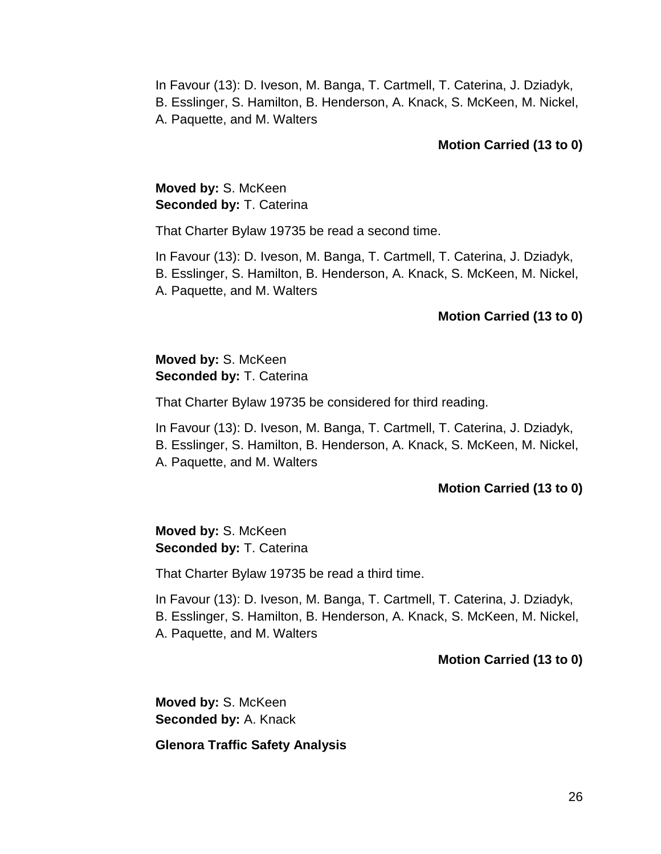#### **Motion Carried (13 to 0)**

## **Moved by:** S. McKeen **Seconded by:** T. Caterina

That Charter Bylaw 19735 be read a second time.

In Favour (13): D. Iveson, M. Banga, T. Cartmell, T. Caterina, J. Dziadyk, B. Esslinger, S. Hamilton, B. Henderson, A. Knack, S. McKeen, M. Nickel, A. Paquette, and M. Walters

#### **Motion Carried (13 to 0)**

**Moved by:** S. McKeen **Seconded by:** T. Caterina

That Charter Bylaw 19735 be considered for third reading.

In Favour (13): D. Iveson, M. Banga, T. Cartmell, T. Caterina, J. Dziadyk, B. Esslinger, S. Hamilton, B. Henderson, A. Knack, S. McKeen, M. Nickel, A. Paquette, and M. Walters

#### **Motion Carried (13 to 0)**

**Moved by:** S. McKeen **Seconded by:** T. Caterina

That Charter Bylaw 19735 be read a third time.

In Favour (13): D. Iveson, M. Banga, T. Cartmell, T. Caterina, J. Dziadyk,

B. Esslinger, S. Hamilton, B. Henderson, A. Knack, S. McKeen, M. Nickel,

A. Paquette, and M. Walters

#### **Motion Carried (13 to 0)**

**Moved by:** S. McKeen **Seconded by:** A. Knack

**Glenora Traffic Safety Analysis**